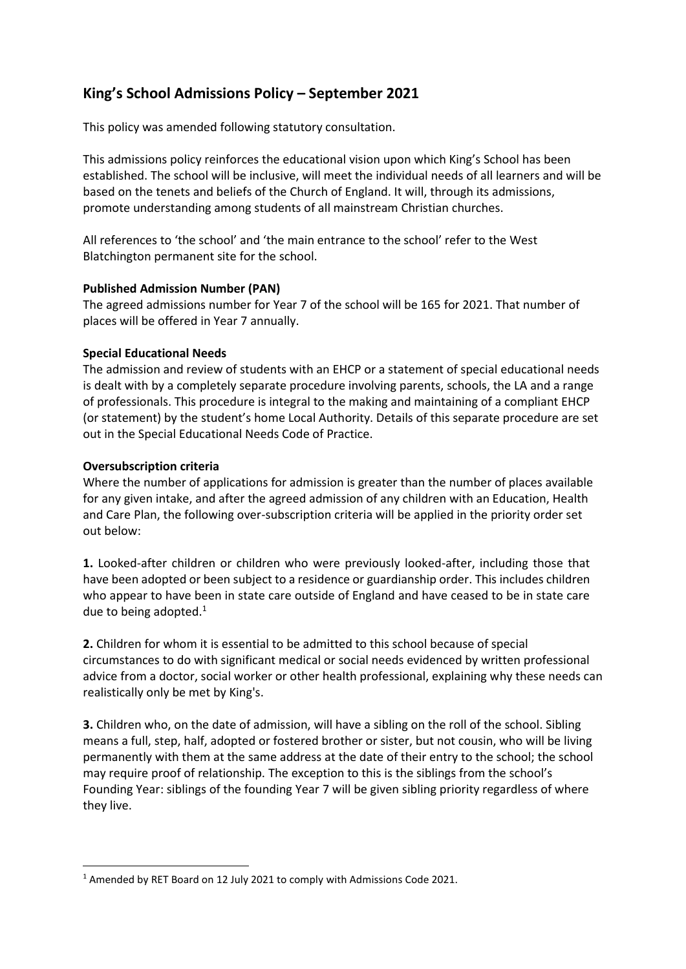# **King's School Admissions Policy – September 2021**

This policy was amended following statutory consultation.

This admissions policy reinforces the educational vision upon which King's School has been established. The school will be inclusive, will meet the individual needs of all learners and will be based on the tenets and beliefs of the Church of England. It will, through its admissions, promote understanding among students of all mainstream Christian churches.

All references to 'the school' and 'the main entrance to the school' refer to the West Blatchington permanent site for the school.

# **Published Admission Number (PAN)**

The agreed admissions number for Year 7 of the school will be 165 for 2021. That number of places will be offered in Year 7 annually.

# **Special Educational Needs**

The admission and review of students with an EHCP or a statement of special educational needs is dealt with by a completely separate procedure involving parents, schools, the LA and a range of professionals. This procedure is integral to the making and maintaining of a compliant EHCP (or statement) by the student's home Local Authority. Details of this separate procedure are set out in the Special Educational Needs Code of Practice.

# **Oversubscription criteria**

Where the number of applications for admission is greater than the number of places available for any given intake, and after the agreed admission of any children with an Education, Health and Care Plan, the following over-subscription criteria will be applied in the priority order set out below:

**1.** Looked-after children or children who were previously looked-after, including those that have been adopted or been subject to a residence or guardianship order. This includes children who appear to have been in state care outside of England and have ceased to be in state care due to being adopted. $1$ 

**2.** Children for whom it is essential to be admitted to this school because of special circumstances to do with significant medical or social needs evidenced by written professional advice from a doctor, social worker or other health professional, explaining why these needs can realistically only be met by King's.

**3.** Children who, on the date of admission, will have a sibling on the roll of the school. Sibling means a full, step, half, adopted or fostered brother or sister, but not cousin, who will be living permanently with them at the same address at the date of their entry to the school; the school may require proof of relationship. The exception to this is the siblings from the school's Founding Year: siblings of the founding Year 7 will be given sibling priority regardless of where they live.

<sup>&</sup>lt;sup>1</sup> Amended by RET Board on 12 July 2021 to comply with Admissions Code 2021.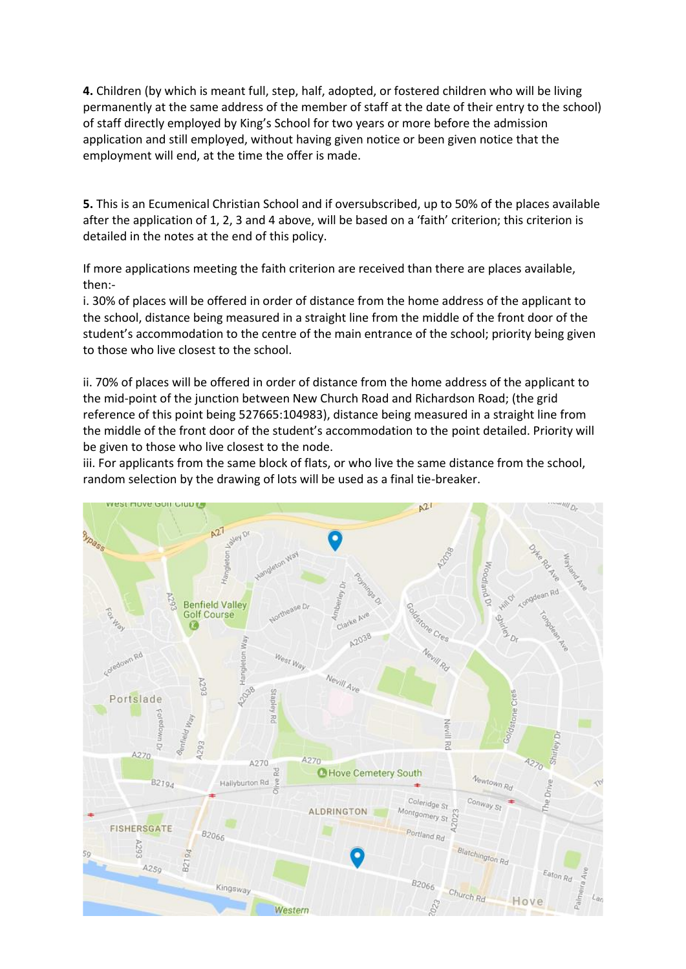**4.** Children (by which is meant full, step, half, adopted, or fostered children who will be living permanently at the same address of the member of staff at the date of their entry to the school) of staff directly employed by King's School for two years or more before the admission application and still employed, without having given notice or been given notice that the employment will end, at the time the offer is made.

**5.** This is an Ecumenical Christian School and if oversubscribed, up to 50% of the places available after the application of 1, 2, 3 and 4 above, will be based on a 'faith' criterion; this criterion is detailed in the notes at the end of this policy.

If more applications meeting the faith criterion are received than there are places available, then:-

i. 30% of places will be offered in order of distance from the home address of the applicant to the school, distance being measured in a straight line from the middle of the front door of the student's accommodation to the centre of the main entrance of the school; priority being given to those who live closest to the school.

ii. 70% of places will be offered in order of distance from the home address of the applicant to the mid-point of the junction between New Church Road and Richardson Road; (the grid reference of this point being 527665:104983), distance being measured in a straight line from the middle of the front door of the student's accommodation to the point detailed. Priority will be given to those who live closest to the node.

iii. For applicants from the same block of flats, or who live the same distance from the school, random selection by the drawing of lots will be used as a final tie-breaker.

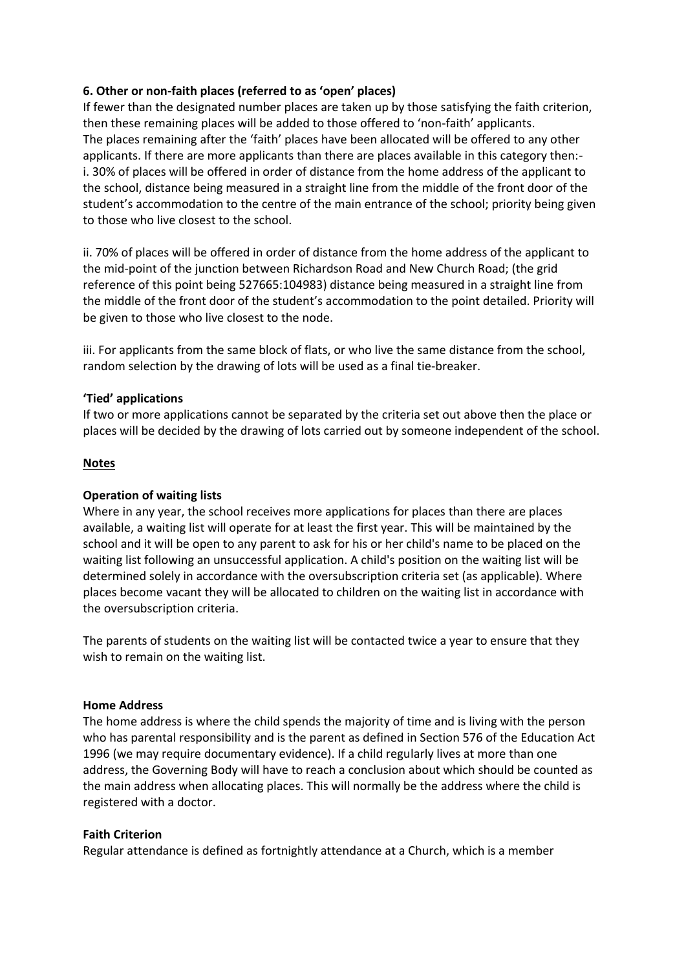# **6. Other or non-faith places (referred to as 'open' places)**

If fewer than the designated number places are taken up by those satisfying the faith criterion, then these remaining places will be added to those offered to 'non-faith' applicants. The places remaining after the 'faith' places have been allocated will be offered to any other applicants. If there are more applicants than there are places available in this category then: i. 30% of places will be offered in order of distance from the home address of the applicant to the school, distance being measured in a straight line from the middle of the front door of the student's accommodation to the centre of the main entrance of the school; priority being given to those who live closest to the school.

ii. 70% of places will be offered in order of distance from the home address of the applicant to the mid-point of the junction between Richardson Road and New Church Road; (the grid reference of this point being 527665:104983) distance being measured in a straight line from the middle of the front door of the student's accommodation to the point detailed. Priority will be given to those who live closest to the node.

iii. For applicants from the same block of flats, or who live the same distance from the school, random selection by the drawing of lots will be used as a final tie-breaker.

### **'Tied' applications**

If two or more applications cannot be separated by the criteria set out above then the place or places will be decided by the drawing of lots carried out by someone independent of the school.

### **Notes**

### **Operation of waiting lists**

Where in any year, the school receives more applications for places than there are places available, a waiting list will operate for at least the first year. This will be maintained by the school and it will be open to any parent to ask for his or her child's name to be placed on the waiting list following an unsuccessful application. A child's position on the waiting list will be determined solely in accordance with the oversubscription criteria set (as applicable). Where places become vacant they will be allocated to children on the waiting list in accordance with the oversubscription criteria.

The parents of students on the waiting list will be contacted twice a year to ensure that they wish to remain on the waiting list.

#### **Home Address**

The home address is where the child spends the majority of time and is living with the person who has parental responsibility and is the parent as defined in Section 576 of the Education Act 1996 (we may require documentary evidence). If a child regularly lives at more than one address, the Governing Body will have to reach a conclusion about which should be counted as the main address when allocating places. This will normally be the address where the child is registered with a doctor.

#### **Faith Criterion**

Regular attendance is defined as fortnightly attendance at a Church, which is a member